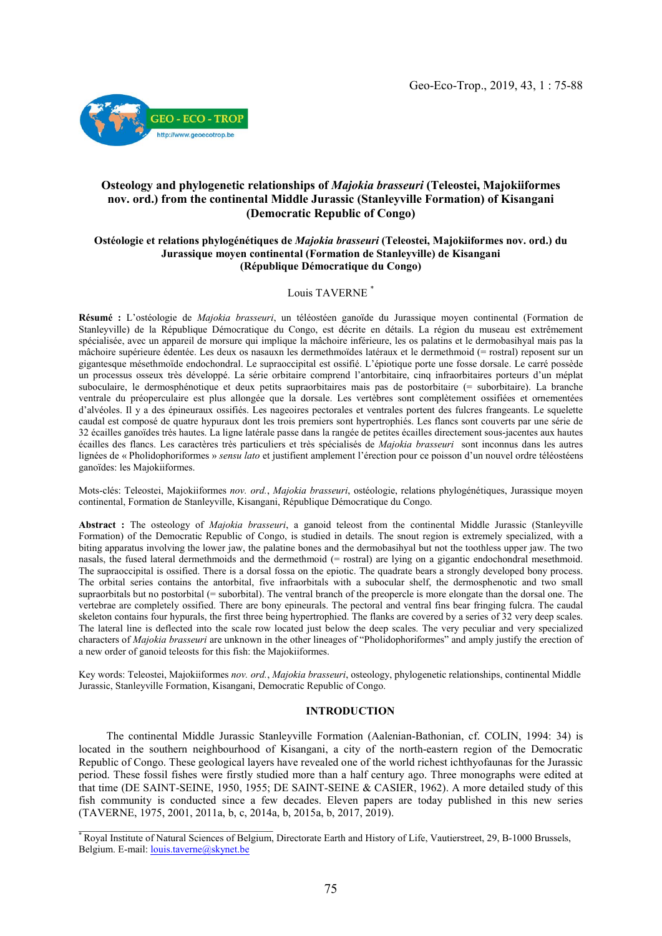

# Osteology and phylogenetic relationships of *Majokia brasseuri* (Teleostei, Majokiiformes nov. ord.) from the continental Middle Jurassic (Stanleyville Formation) of Kisangani (Democratic Republic of Congo)

# Ostéologie et relations phylogénétiques de *Majokia brasseuri* (Teleostei, Majokiiformes nov. ord.) du Jurassique moyen continental (Formation de Stanleyville) de Kisangani (République Démocratique du Congo)

### Louis TAVERNE \*

Résumé : L'ostéologie de *Majokia brasseuri*, un téléostéen ganoïde du Jurassique moyen continental (Formation de Stanleyville) de la République Démocratique du Congo, est décrite en détails. La région du museau est extrêmement spécialisée, avec un appareil de morsure qui implique la mâchoire inférieure, les os palatins et le dermobasihyal mais pas la mâchoire supérieure édentée. Les deux os nasauxn les dermethmoïdes latéraux et le dermethmoid (= rostral) reposent sur un gigantesque mésethmoïde endochondral. Le supraoccipital est ossifié. L'épiotique porte une fosse dorsale. Le carré possède un processus osseux très développé. La série orbitaire comprend l'antorbitaire, cinq infraorbitaires porteurs d'un méplat suboculaire, le dermosphénotique et deux petits supraorbitaires mais pas de postorbitaire (= suborbitaire). La branche ventrale du préoperculaire est plus allongée que la dorsale. Les vertèbres sont complètement ossifiées et ornementées d'alvéoles. Il y a des épineuraux ossifiés. Les nageoires pectorales et ventrales portent des fulcres frangeants. Le squelette caudal est composé de quatre hypuraux dont les trois premiers sont hypertrophiés. Les flancs sont couverts par une série de 32 écailles ganoïdes très hautes. La ligne latérale passe dans la rangée de petites écailles directement sous-jacentes aux hautes écailles des flancs. Les caractères très particuliers et très spécialisés de *Majokia brasseuri* sont inconnus dans les autres lignées de « Pholidophoriformes » *sensu lato* et justifient amplement l'érection pour ce poisson d'un nouvel ordre téléostéens ganoïdes: les Majokiiformes.

Mots-clés: Teleostei, Majokiiformes *nov. ord.*, *Majokia brasseuri*, ostéologie, relations phylogénétiques, Jurassique moyen continental, Formation de Stanleyville, Kisangani, République Démocratique du Congo.

Abstract : The osteology of *Majokia brasseuri*, a ganoid teleost from the continental Middle Jurassic (Stanleyville Formation) of the Democratic Republic of Congo, is studied in details. The snout region is extremely specialized, with a biting apparatus involving the lower jaw, the palatine bones and the dermobasihyal but not the toothless upper jaw. The two nasals, the fused lateral dermethmoids and the dermethmoid (= rostral) are lying on a gigantic endochondral mesethmoid. The supraoccipital is ossified. There is a dorsal fossa on the epiotic. The quadrate bears a strongly developed bony process. The orbital series contains the antorbital, five infraorbitals with a subocular shelf, the dermosphenotic and two small supraorbitals but no postorbital (= suborbital). The ventral branch of the preopercle is more elongate than the dorsal one. The vertebrae are completely ossified. There are bony epineurals. The pectoral and ventral fins bear fringing fulcra. The caudal skeleton contains four hypurals, the first three being hypertrophied. The flanks are covered by a series of 32 very deep scales. The lateral line is deflected into the scale row located just below the deep scales. The very peculiar and very specialized characters of *Majokia brasseuri* are unknown in the other lineages of "Pholidophoriformes" and amply justify the erection of a new order of ganoid teleosts for this fish: the Majokiiformes.

Key words: Teleostei, Majokiiformes *nov. ord.*, *Majokia brasseuri*, osteology, phylogenetic relationships, continental Middle Jurassic, Stanleyville Formation, Kisangani, Democratic Republic of Congo.

# INTRODUCTION

 The continental Middle Jurassic Stanleyville Formation (Aalenian-Bathonian, cf. COLIN, 1994: 34) is located in the southern neighbourhood of Kisangani, a city of the north-eastern region of the Democratic Republic of Congo. These geological layers have revealed one of the world richest ichthyofaunas for the Jurassic period. These fossil fishes were firstly studied more than a half century ago. Three monographs were edited at that time (DE SAINT-SEINE, 1950, 1955; DE SAINT-SEINE & CASIER, 1962). A more detailed study of this fish community is conducted since a few decades. Eleven papers are today published in this new series (TAVERNE, 1975, 2001, 2011a, b, c, 2014a, b, 2015a, b, 2017, 2019).

\_\_\_\_\_\_\_\_\_\_\_\_\_\_\_\_\_\_\_\_\_\_\_\_\_\_\_\_\_\_\_\_\_\_\_

<sup>\*</sup> Royal Institute of Natural Sciences of Belgium, Directorate Earth and History of Life, Vautierstreet, 29, B-1000 Brussels, Belgium. E-mail: [louis.taverne@skynet.be](mailto:louis.taverne@skynet.be)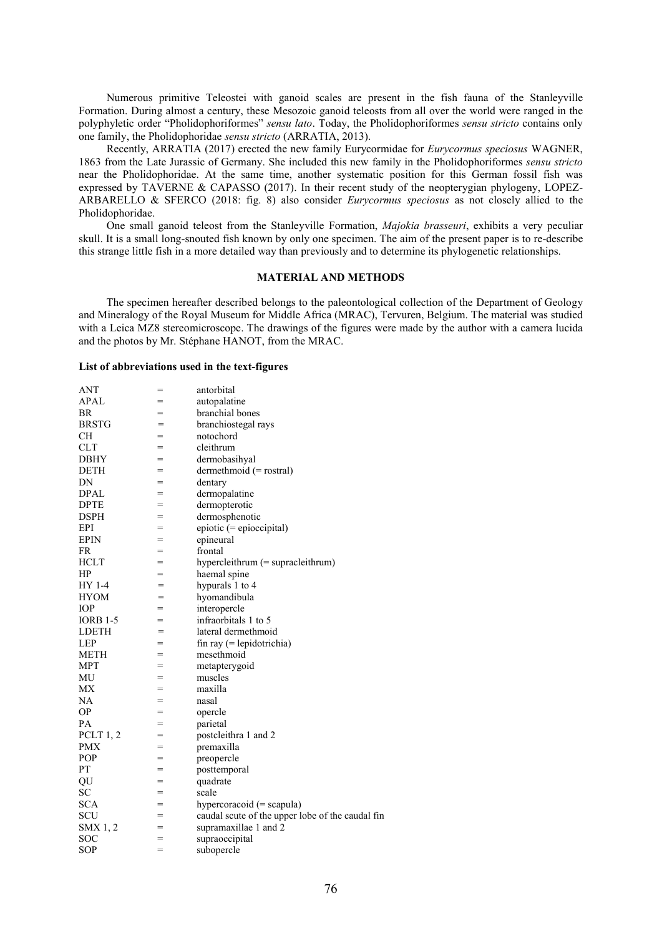Numerous primitive Teleostei with ganoid scales are present in the fish fauna of the Stanleyville Formation. During almost a century, these Mesozoic ganoid teleosts from all over the world were ranged in the polyphyletic order "Pholidophoriformes" *sensu lato*. Today, the Pholidophoriformes *sensu stricto* contains only one family, the Pholidophoridae *sensu stricto* (ARRATIA, 2013).

 Recently, ARRATIA (2017) erected the new family Eurycormidae for *Eurycormus speciosus* WAGNER, 1863 from the Late Jurassic of Germany. She included this new family in the Pholidophoriformes *sensu stricto*  near the Pholidophoridae. At the same time, another systematic position for this German fossil fish was expressed by TAVERNE & CAPASSO (2017). In their recent study of the neopterygian phylogeny, LOPEZ-ARBARELLO & SFERCO (2018: fig. 8) also consider *Eurycormus speciosus* as not closely allied to the Pholidophoridae.

 One small ganoid teleost from the Stanleyville Formation, *Majokia brasseuri*, exhibits a very peculiar skull. It is a small long-snouted fish known by only one specimen. The aim of the present paper is to re-describe this strange little fish in a more detailed way than previously and to determine its phylogenetic relationships.

# MATERIAL AND METHODS

 The specimen hereafter described belongs to the paleontological collection of the Department of Geology and Mineralogy of the Royal Museum for Middle Africa (MRAC), Tervuren, Belgium. The material was studied with a Leica MZ8 stereomicroscope. The drawings of the figures were made by the author with a camera lucida and the photos by Mr. Stéphane HANOT, from the MRAC.

#### List of abbreviations used in the text-figures

| <b>ANT</b>      | $=$ | antorbital                                       |
|-----------------|-----|--------------------------------------------------|
| <b>APAL</b>     | $=$ | autopalatine                                     |
| <b>BR</b>       | $=$ | branchial bones                                  |
| <b>BRSTG</b>    | $=$ | branchiostegal rays                              |
| <b>CH</b>       | $=$ | notochord                                        |
| <b>CLT</b>      | $=$ | cleithrum                                        |
| DBHY            | $=$ | dermobasihyal                                    |
| <b>DETH</b>     | =   | dermethmoid $(=$ rostral)                        |
| DN              | =   | dentary                                          |
| <b>DPAL</b>     | $=$ | dermopalatine                                    |
| <b>DPTE</b>     | $=$ | dermopterotic                                    |
| <b>DSPH</b>     | $=$ | dermosphenotic                                   |
| EPI             | $=$ | $epiotic (= epioccipital)$                       |
| <b>EPIN</b>     | $=$ | epineural                                        |
| FR              | =   | frontal                                          |
| <b>HCLT</b>     | $=$ | hypercleithrum $(=$ supracleithrum $)$           |
| HP              | $=$ | haemal spine                                     |
| HY 1-4          | $=$ | hypurals 1 to 4                                  |
| <b>HYOM</b>     | $=$ | hyomandibula                                     |
| <b>IOP</b>      | $=$ | interopercle                                     |
| <b>IORB 1-5</b> | =   | infraorbitals 1 to 5                             |
| <b>LDETH</b>    | $=$ | lateral dermethmoid                              |
| LEP             | $=$ | $fin ray (= lepidotrichia)$                      |
| METH            | $=$ | mesethmoid                                       |
| MPT             | $=$ | metapterygoid                                    |
| MU              | $=$ | muscles                                          |
| МX              | $=$ | maxilla                                          |
| NA              | $=$ | nasal                                            |
| <b>OP</b>       | $=$ | opercle                                          |
| PA              | $=$ | parietal                                         |
| PCLT $1, 2$     | =   | postcleithra 1 and 2                             |
| <b>PMX</b>      | $=$ | premaxilla                                       |
| POP             | $=$ | preopercle                                       |
| PT              | $=$ | posttemporal                                     |
| QU              | =   | quadrate                                         |
| SC              | $=$ | scale                                            |
| <b>SCA</b>      | $=$ | hypercoracoid $(=$ scapula)                      |
| SCU             | $=$ | caudal scute of the upper lobe of the caudal fin |
| SMX 1, 2        | =   | supramaxillae 1 and 2                            |
| <b>SOC</b>      | =   | supraoccipital                                   |
| SOP             | $=$ | subopercle                                       |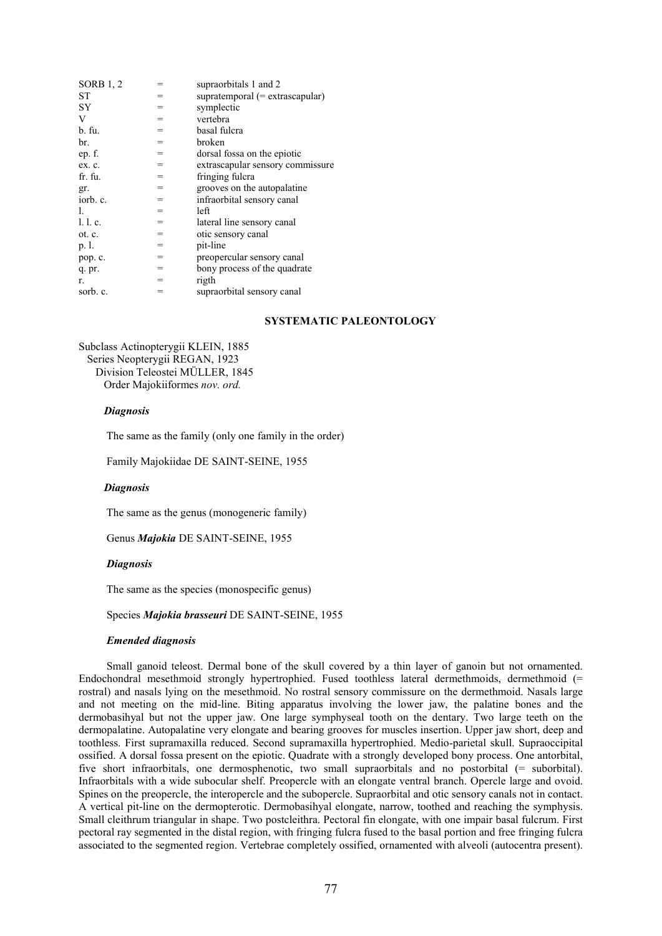| <b>SORB</b> 1, 2 | =   | supraorbitals 1 and 2                |
|------------------|-----|--------------------------------------|
| ST               | $=$ | supratemporal $(=$ extrascapular $)$ |
| SY.              | $=$ | symplectic                           |
| V                | =   | vertebra                             |
| b. fu.           | $=$ | basal fulcra                         |
| br.              | $=$ | broken                               |
| ep. f.           | $=$ | dorsal fossa on the epiotic          |
| ex. c.           | $=$ | extrascapular sensory commissure     |
| fr. fu.          | $=$ | fringing fulcra                      |
| gr.              | $=$ | grooves on the autopalatine          |
| iorb. c.         | $=$ | infraorbital sensory canal           |
| L.               | $=$ | left                                 |
| 1. l. c.         | $=$ | lateral line sensory canal           |
| ot. c.           | $=$ | otic sensory canal                   |
| p. l.            | $=$ | pit-line                             |
| pop. c.          | $=$ | preopercular sensory canal           |
| q. pr.           | $=$ | bony process of the quadrate         |
| r.               | $=$ | rigth                                |
| sorb. c.         | =   | supraorbital sensory canal           |

# SYSTEMATIC PALEONTOLOGY

Subclass Actinopterygii KLEIN, 1885 Series Neopterygii REGAN, 1923 Division Teleostei MÜLLER, 1845 Order Majokiiformes *nov. ord.*

## *Diagnosis*

The same as the family (only one family in the order)

Family Majokiidae DE SAINT-SEINE, 1955

### *Diagnosis*

The same as the genus (monogeneric family)

Genus *Majokia* DE SAINT-SEINE, 1955

### *Diagnosis*

The same as the species (monospecific genus)

### Species *Majokia brasseuri* DE SAINT-SEINE, 1955

### *Emended diagnosis*

 Small ganoid teleost. Dermal bone of the skull covered by a thin layer of ganoin but not ornamented. Endochondral mesethmoid strongly hypertrophied. Fused toothless lateral dermethmoids, dermethmoid (= rostral) and nasals lying on the mesethmoid. No rostral sensory commissure on the dermethmoid. Nasals large and not meeting on the mid-line. Biting apparatus involving the lower jaw, the palatine bones and the dermobasihyal but not the upper jaw. One large symphyseal tooth on the dentary. Two large teeth on the dermopalatine. Autopalatine very elongate and bearing grooves for muscles insertion. Upper jaw short, deep and toothless. First supramaxilla reduced. Second supramaxilla hypertrophied. Medio-parietal skull. Supraoccipital ossified. A dorsal fossa present on the epiotic. Quadrate with a strongly developed bony process. One antorbital, five short infraorbitals, one dermosphenotic, two small supraorbitals and no postorbital (= suborbital). Infraorbitals with a wide subocular shelf. Preopercle with an elongate ventral branch. Opercle large and ovoid. Spines on the preopercle, the interopercle and the subopercle. Supraorbital and otic sensory canals not in contact. A vertical pit-line on the dermopterotic. Dermobasihyal elongate, narrow, toothed and reaching the symphysis. Small cleithrum triangular in shape. Two postcleithra. Pectoral fin elongate, with one impair basal fulcrum. First pectoral ray segmented in the distal region, with fringing fulcra fused to the basal portion and free fringing fulcra associated to the segmented region. Vertebrae completely ossified, ornamented with alveoli (autocentra present).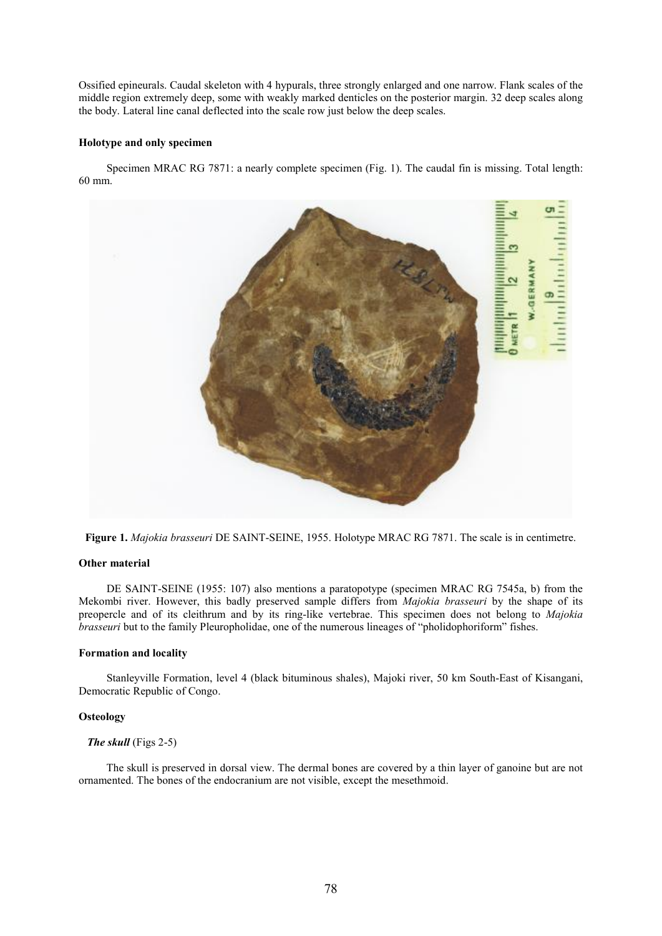Ossified epineurals. Caudal skeleton with 4 hypurals, three strongly enlarged and one narrow. Flank scales of the middle region extremely deep, some with weakly marked denticles on the posterior margin. 32 deep scales along the body. Lateral line canal deflected into the scale row just below the deep scales.

## Holotype and only specimen

 Specimen MRAC RG 7871: a nearly complete specimen (Fig. 1). The caudal fin is missing. Total length: 60 mm.



Figure 1. *Majokia brasseuri* DE SAINT-SEINE, 1955. Holotype MRAC RG 7871. The scale is in centimetre.

### Other material

 DE SAINT-SEINE (1955: 107) also mentions a paratopotype (specimen MRAC RG 7545a, b) from the Mekombi river. However, this badly preserved sample differs from *Majokia brasseuri* by the shape of its preopercle and of its cleithrum and by its ring-like vertebrae. This specimen does not belong to *Majokia brasseuri* but to the family Pleuropholidae, one of the numerous lineages of "pholidophoriform" fishes.

# Formation and locality

 Stanleyville Formation, level 4 (black bituminous shales), Majoki river, 50 km South-East of Kisangani, Democratic Republic of Congo.

### **Osteology**

# *The skull* (Figs 2-5)

 The skull is preserved in dorsal view. The dermal bones are covered by a thin layer of ganoine but are not ornamented. The bones of the endocranium are not visible, except the mesethmoid.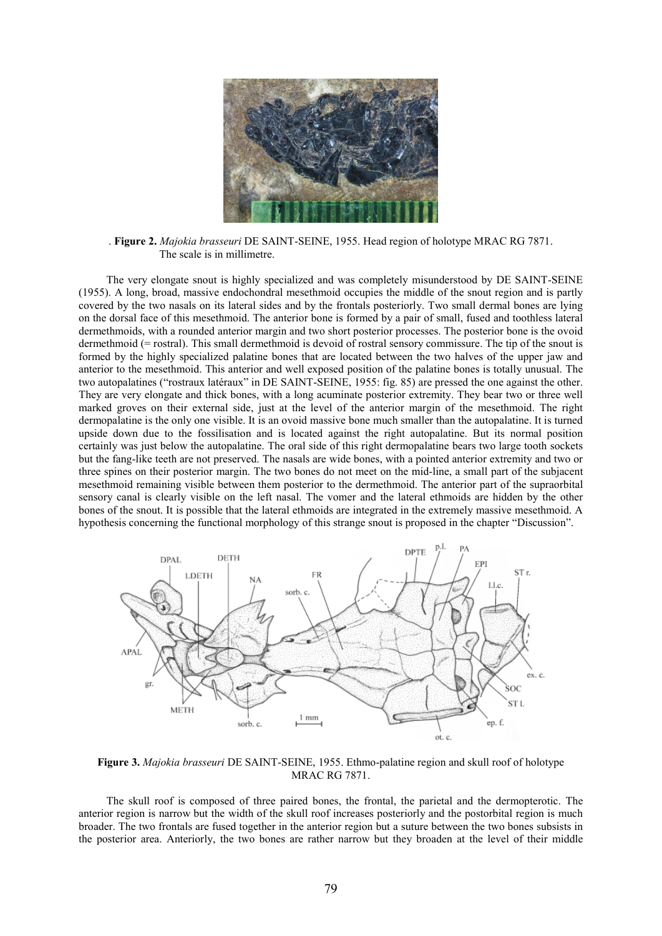

. Figure 2. *Majokia brasseuri* DE SAINT-SEINE, 1955. Head region of holotype MRAC RG 7871. The scale is in millimetre.

 The very elongate snout is highly specialized and was completely misunderstood by DE SAINT-SEINE (1955). A long, broad, massive endochondral mesethmoid occupies the middle of the snout region and is partly covered by the two nasals on its lateral sides and by the frontals posteriorly. Two small dermal bones are lying on the dorsal face of this mesethmoid. The anterior bone is formed by a pair of small, fused and toothless lateral dermethmoids, with a rounded anterior margin and two short posterior processes. The posterior bone is the ovoid dermethmoid (= rostral). This small dermethmoid is devoid of rostral sensory commissure. The tip of the snout is formed by the highly specialized palatine bones that are located between the two halves of the upper jaw and anterior to the mesethmoid. This anterior and well exposed position of the palatine bones is totally unusual. The two autopalatines ("rostraux latéraux" in DE SAINT-SEINE, 1955: fig. 85) are pressed the one against the other. They are very elongate and thick bones, with a long acuminate posterior extremity. They bear two or three well marked groves on their external side, just at the level of the anterior margin of the mesethmoid. The right dermopalatine is the only one visible. It is an ovoid massive bone much smaller than the autopalatine. It is turned upside down due to the fossilisation and is located against the right autopalatine. But its normal position certainly was just below the autopalatine. The oral side of this right dermopalatine bears two large tooth sockets but the fang-like teeth are not preserved. The nasals are wide bones, with a pointed anterior extremity and two or three spines on their posterior margin. The two bones do not meet on the mid-line, a small part of the subjacent mesethmoid remaining visible between them posterior to the dermethmoid. The anterior part of the supraorbital sensory canal is clearly visible on the left nasal. The vomer and the lateral ethmoids are hidden by the other bones of the snout. It is possible that the lateral ethmoids are integrated in the extremely massive mesethmoid. A hypothesis concerning the functional morphology of this strange snout is proposed in the chapter "Discussion".



Figure 3. *Majokia brasseuri* DE SAINT-SEINE, 1955. Ethmo-palatine region and skull roof of holotype MRAC RG 7871.

 The skull roof is composed of three paired bones, the frontal, the parietal and the dermopterotic. The anterior region is narrow but the width of the skull roof increases posteriorly and the postorbital region is much broader. The two frontals are fused together in the anterior region but a suture between the two bones subsists in the posterior area. Anteriorly, the two bones are rather narrow but they broaden at the level of their middle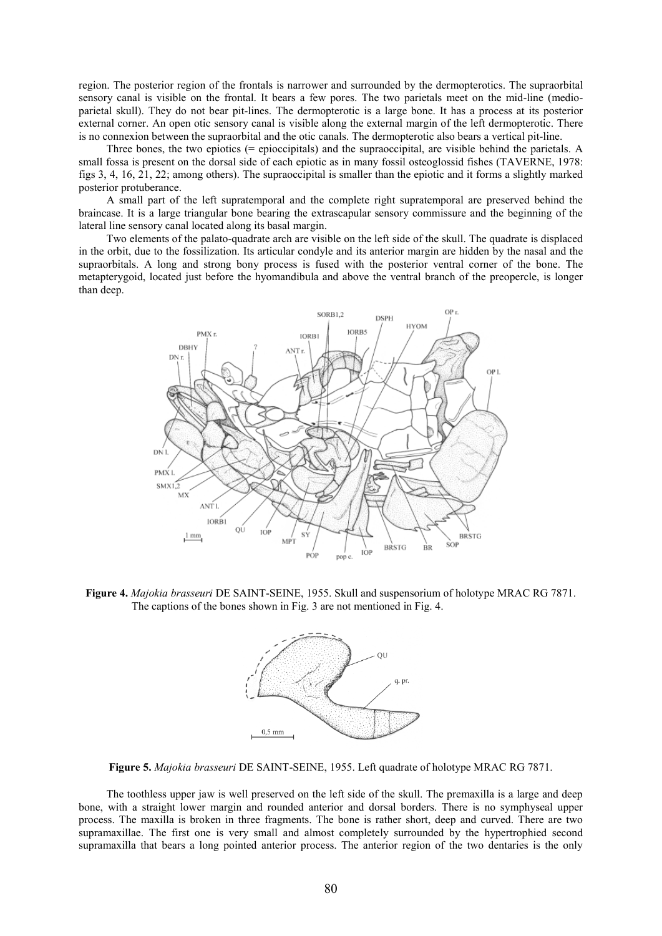region. The posterior region of the frontals is narrower and surrounded by the dermopterotics. The supraorbital sensory canal is visible on the frontal. It bears a few pores. The two parietals meet on the mid-line (medioparietal skull). They do not bear pit-lines. The dermopterotic is a large bone. It has a process at its posterior external corner. An open otic sensory canal is visible along the external margin of the left dermopterotic. There is no connexion between the supraorbital and the otic canals. The dermopterotic also bears a vertical pit-line.

 Three bones, the two epiotics (= epioccipitals) and the supraoccipital, are visible behind the parietals. A small fossa is present on the dorsal side of each epiotic as in many fossil osteoglossid fishes (TAVERNE, 1978: figs 3, 4, 16, 21, 22; among others). The supraoccipital is smaller than the epiotic and it forms a slightly marked posterior protuberance.

 A small part of the left supratemporal and the complete right supratemporal are preserved behind the braincase. It is a large triangular bone bearing the extrascapular sensory commissure and the beginning of the lateral line sensory canal located along its basal margin.

 Two elements of the palato-quadrate arch are visible on the left side of the skull. The quadrate is displaced in the orbit, due to the fossilization. Its articular condyle and its anterior margin are hidden by the nasal and the supraorbitals. A long and strong bony process is fused with the posterior ventral corner of the bone. The metapterygoid, located just before the hyomandibula and above the ventral branch of the preopercle, is longer than deep.



Figure 4. *Majokia brasseuri* DE SAINT-SEINE, 1955. Skull and suspensorium of holotype MRAC RG 7871. The captions of the bones shown in Fig. 3 are not mentioned in Fig. 4.



Figure 5. *Majokia brasseuri* DE SAINT-SEINE, 1955. Left quadrate of holotype MRAC RG 7871.

 The toothless upper jaw is well preserved on the left side of the skull. The premaxilla is a large and deep bone, with a straight lower margin and rounded anterior and dorsal borders. There is no symphyseal upper process. The maxilla is broken in three fragments. The bone is rather short, deep and curved. There are two supramaxillae. The first one is very small and almost completely surrounded by the hypertrophied second supramaxilla that bears a long pointed anterior process. The anterior region of the two dentaries is the only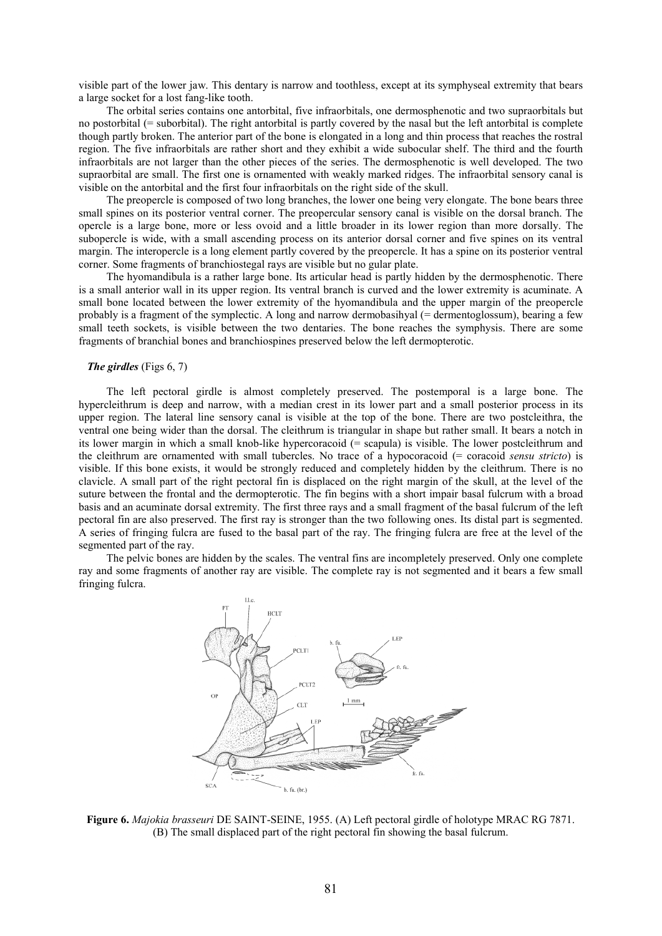visible part of the lower jaw. This dentary is narrow and toothless, except at its symphyseal extremity that bears a large socket for a lost fang-like tooth.

 The orbital series contains one antorbital, five infraorbitals, one dermosphenotic and two supraorbitals but no postorbital (= suborbital). The right antorbital is partly covered by the nasal but the left antorbital is complete though partly broken. The anterior part of the bone is elongated in a long and thin process that reaches the rostral region. The five infraorbitals are rather short and they exhibit a wide subocular shelf. The third and the fourth infraorbitals are not larger than the other pieces of the series. The dermosphenotic is well developed. The two supraorbital are small. The first one is ornamented with weakly marked ridges. The infraorbital sensory canal is visible on the antorbital and the first four infraorbitals on the right side of the skull.

 The preopercle is composed of two long branches, the lower one being very elongate. The bone bears three small spines on its posterior ventral corner. The preopercular sensory canal is visible on the dorsal branch. The opercle is a large bone, more or less ovoid and a little broader in its lower region than more dorsally. The subopercle is wide, with a small ascending process on its anterior dorsal corner and five spines on its ventral margin. The interopercle is a long element partly covered by the preopercle. It has a spine on its posterior ventral corner. Some fragments of branchiostegal rays are visible but no gular plate.

 The hyomandibula is a rather large bone. Its articular head is partly hidden by the dermosphenotic. There is a small anterior wall in its upper region. Its ventral branch is curved and the lower extremity is acuminate. A small bone located between the lower extremity of the hyomandibula and the upper margin of the preopercle probably is a fragment of the symplectic. A long and narrow dermobasihyal (= dermentoglossum), bearing a few small teeth sockets, is visible between the two dentaries. The bone reaches the symphysis. There are some fragments of branchial bones and branchiospines preserved below the left dermopterotic.

### *The girdles* (Figs 6, 7)

 The left pectoral girdle is almost completely preserved. The postemporal is a large bone. The hypercleithrum is deep and narrow, with a median crest in its lower part and a small posterior process in its upper region. The lateral line sensory canal is visible at the top of the bone. There are two postcleithra, the ventral one being wider than the dorsal. The cleithrum is triangular in shape but rather small. It bears a notch in its lower margin in which a small knob-like hypercoracoid (= scapula) is visible. The lower postcleithrum and the cleithrum are ornamented with small tubercles. No trace of a hypocoracoid (= coracoid *sensu stricto*) is visible. If this bone exists, it would be strongly reduced and completely hidden by the cleithrum. There is no clavicle. A small part of the right pectoral fin is displaced on the right margin of the skull, at the level of the suture between the frontal and the dermopterotic. The fin begins with a short impair basal fulcrum with a broad basis and an acuminate dorsal extremity. The first three rays and a small fragment of the basal fulcrum of the left pectoral fin are also preserved. The first ray is stronger than the two following ones. Its distal part is segmented. A series of fringing fulcra are fused to the basal part of the ray. The fringing fulcra are free at the level of the segmented part of the ray.

 The pelvic bones are hidden by the scales. The ventral fins are incompletely preserved. Only one complete ray and some fragments of another ray are visible. The complete ray is not segmented and it bears a few small fringing fulcra.



Figure 6. *Majokia brasseuri* DE SAINT-SEINE, 1955. (A) Left pectoral girdle of holotype MRAC RG 7871. (B) The small displaced part of the right pectoral fin showing the basal fulcrum.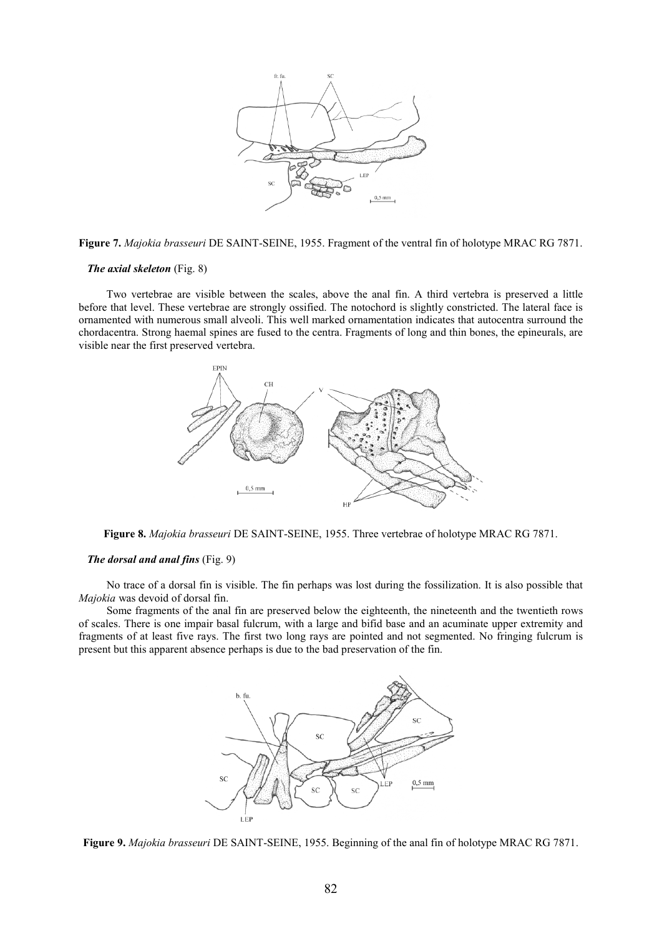

Figure 7. *Majokia brasseuri* DE SAINT-SEINE, 1955. Fragment of the ventral fin of holotype MRAC RG 7871.

### *The axial skeleton* (Fig. 8)

 Two vertebrae are visible between the scales, above the anal fin. A third vertebra is preserved a little before that level. These vertebrae are strongly ossified. The notochord is slightly constricted. The lateral face is ornamented with numerous small alveoli. This well marked ornamentation indicates that autocentra surround the chordacentra. Strong haemal spines are fused to the centra. Fragments of long and thin bones, the epineurals, are visible near the first preserved vertebra.



Figure 8. *Majokia brasseuri* DE SAINT-SEINE, 1955. Three vertebrae of holotype MRAC RG 7871.

#### *The dorsal and anal fins* (Fig. 9)

 No trace of a dorsal fin is visible. The fin perhaps was lost during the fossilization. It is also possible that *Majokia* was devoid of dorsal fin.

 Some fragments of the anal fin are preserved below the eighteenth, the nineteenth and the twentieth rows of scales. There is one impair basal fulcrum, with a large and bifid base and an acuminate upper extremity and fragments of at least five rays. The first two long rays are pointed and not segmented. No fringing fulcrum is present but this apparent absence perhaps is due to the bad preservation of the fin.



Figure 9. *Majokia brasseuri* DE SAINT-SEINE, 1955. Beginning of the anal fin of holotype MRAC RG 7871.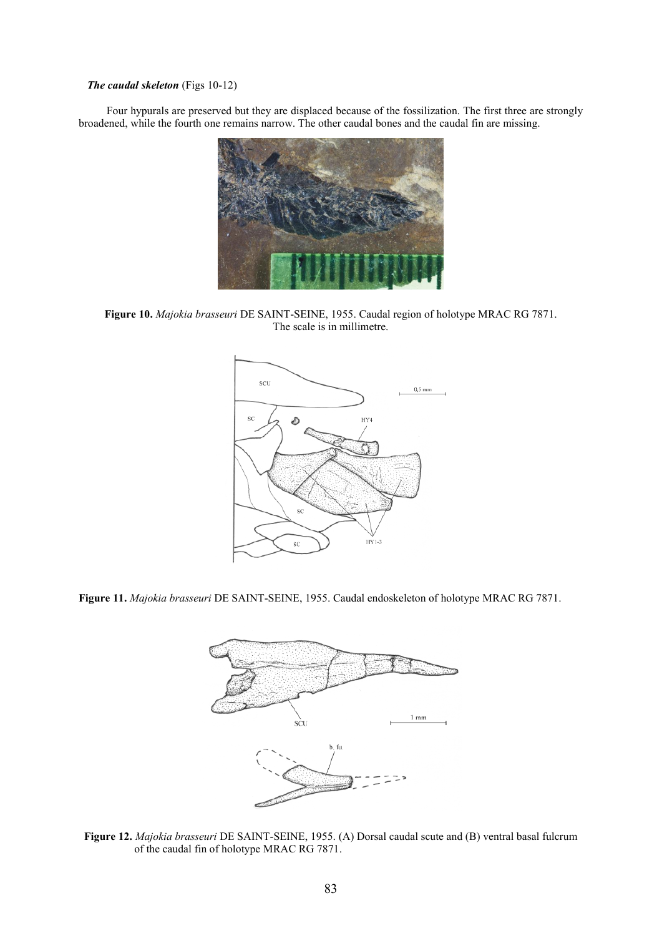# *The caudal skeleton* (Figs 10-12)

 Four hypurals are preserved but they are displaced because of the fossilization. The first three are strongly broadened, while the fourth one remains narrow. The other caudal bones and the caudal fin are missing.



Figure 10. *Majokia brasseuri* DE SAINT-SEINE, 1955. Caudal region of holotype MRAC RG 7871. The scale is in millimetre.



Figure 11. *Majokia brasseuri* DE SAINT-SEINE, 1955. Caudal endoskeleton of holotype MRAC RG 7871.



Figure 12. *Majokia brasseuri* DE SAINT-SEINE, 1955. (A) Dorsal caudal scute and (B) ventral basal fulcrum of the caudal fin of holotype MRAC RG 7871.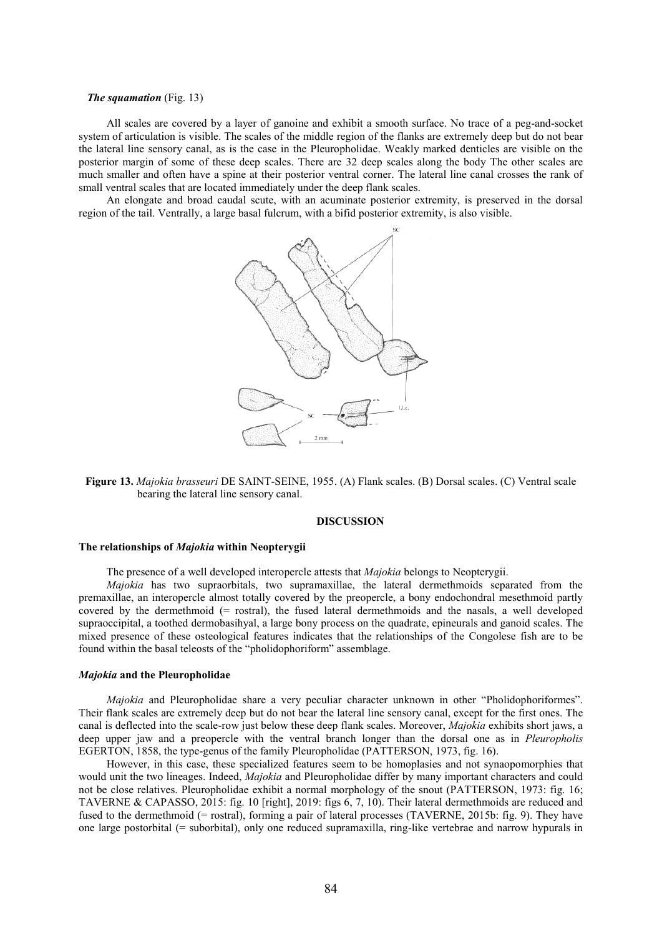#### *The squamation* (Fig. 13)

 All scales are covered by a layer of ganoine and exhibit a smooth surface. No trace of a peg-and-socket system of articulation is visible. The scales of the middle region of the flanks are extremely deep but do not bear the lateral line sensory canal, as is the case in the Pleuropholidae. Weakly marked denticles are visible on the posterior margin of some of these deep scales. There are 32 deep scales along the body The other scales are much smaller and often have a spine at their posterior ventral corner. The lateral line canal crosses the rank of small ventral scales that are located immediately under the deep flank scales.

 An elongate and broad caudal scute, with an acuminate posterior extremity, is preserved in the dorsal region of the tail. Ventrally, a large basal fulcrum, with a bifid posterior extremity, is also visible.



Figure 13. *Majokia brasseuri* DE SAINT-SEINE, 1955. (A) Flank scales. (B) Dorsal scales. (C) Ventral scale bearing the lateral line sensory canal.

### DISCUSSION

#### The relationships of *Majokia* within Neopterygii

The presence of a well developed interopercle attests that *Majokia* belongs to Neopterygii.

 *Majokia* has two supraorbitals, two supramaxillae, the lateral dermethmoids separated from the premaxillae, an interopercle almost totally covered by the preopercle, a bony endochondral mesethmoid partly covered by the dermethmoid (= rostral), the fused lateral dermethmoids and the nasals, a well developed supraoccipital, a toothed dermobasihyal, a large bony process on the quadrate, epineurals and ganoid scales. The mixed presence of these osteological features indicates that the relationships of the Congolese fish are to be found within the basal teleosts of the "pholidophoriform" assemblage.

#### *Majokia* and the Pleuropholidae

 *Majokia* and Pleuropholidae share a very peculiar character unknown in other "Pholidophoriformes". Their flank scales are extremely deep but do not bear the lateral line sensory canal, except for the first ones. The canal is deflected into the scale-row just below these deep flank scales. Moreover, *Majokia* exhibits short jaws, a deep upper jaw and a preopercle with the ventral branch longer than the dorsal one as in *Pleuropholis*  EGERTON, 1858, the type-genus of the family Pleuropholidae (PATTERSON, 1973, fig. 16).

 However, in this case, these specialized features seem to be homoplasies and not synaopomorphies that would unit the two lineages. Indeed, *Majokia* and Pleuropholidae differ by many important characters and could not be close relatives. Pleuropholidae exhibit a normal morphology of the snout (PATTERSON, 1973: fig. 16; TAVERNE & CAPASSO, 2015: fig. 10 [right], 2019: figs 6, 7, 10). Their lateral dermethmoids are reduced and fused to the dermethmoid (= rostral), forming a pair of lateral processes (TAVERNE, 2015b: fig. 9). They have one large postorbital (= suborbital), only one reduced supramaxilla, ring-like vertebrae and narrow hypurals in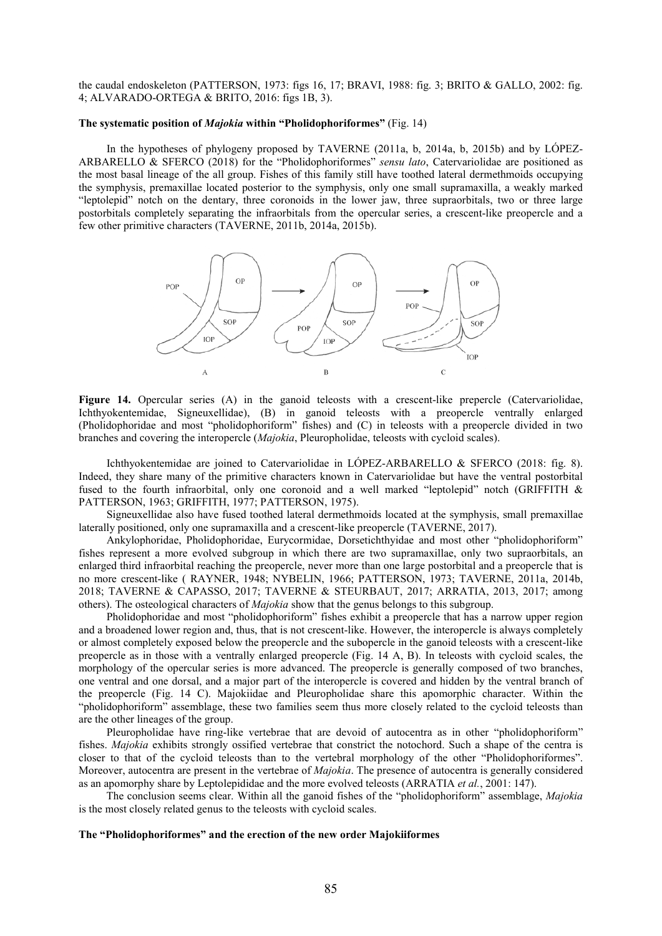the caudal endoskeleton (PATTERSON, 1973: figs 16, 17; BRAVI, 1988: fig. 3; BRITO & GALLO, 2002: fig. 4; ALVARADO-ORTEGA & BRITO, 2016: figs 1B, 3).

#### The systematic position of *Majokia* within "Pholidophoriformes" (Fig. 14)

 In the hypotheses of phylogeny proposed by TAVERNE (2011a, b, 2014a, b, 2015b) and by LÓPEZ-ARBARELLO & SFERCO (2018) for the "Pholidophoriformes" *sensu lato*, Catervariolidae are positioned as the most basal lineage of the all group. Fishes of this family still have toothed lateral dermethmoids occupying the symphysis, premaxillae located posterior to the symphysis, only one small supramaxilla, a weakly marked "leptolepid" notch on the dentary, three coronoids in the lower jaw, three supraorbitals, two or three large postorbitals completely separating the infraorbitals from the opercular series, a crescent-like preopercle and a few other primitive characters (TAVERNE, 2011b, 2014a, 2015b).



Figure 14. Opercular series (A) in the ganoid teleosts with a crescent-like prepercle (Catervariolidae, Ichthyokentemidae, Signeuxellidae), (B) in ganoid teleosts with a preopercle ventrally enlarged (Pholidophoridae and most "pholidophoriform" fishes) and (C) in teleosts with a preopercle divided in two branches and covering the interopercle (*Majokia*, Pleuropholidae, teleosts with cycloid scales).

 Ichthyokentemidae are joined to Catervariolidae in LÓPEZ-ARBARELLO & SFERCO (2018: fig. 8). Indeed, they share many of the primitive characters known in Catervariolidae but have the ventral postorbital fused to the fourth infraorbital, only one coronoid and a well marked "leptolepid" notch (GRIFFITH & PATTERSON, 1963; GRIFFITH, 1977; PATTERSON, 1975).

 Signeuxellidae also have fused toothed lateral dermethmoids located at the symphysis, small premaxillae laterally positioned, only one supramaxilla and a crescent-like preopercle (TAVERNE, 2017).

 Ankylophoridae, Pholidophoridae, Eurycormidae, Dorsetichthyidae and most other "pholidophoriform" fishes represent a more evolved subgroup in which there are two supramaxillae, only two supraorbitals, an enlarged third infraorbital reaching the preopercle, never more than one large postorbital and a preopercle that is no more crescent-like ( RAYNER, 1948; NYBELIN, 1966; PATTERSON, 1973; TAVERNE, 2011a, 2014b, 2018; TAVERNE & CAPASSO, 2017; TAVERNE & STEURBAUT, 2017; ARRATIA, 2013, 2017; among others). The osteological characters of *Majokia* show that the genus belongs to this subgroup.

 Pholidophoridae and most "pholidophoriform" fishes exhibit a preopercle that has a narrow upper region and a broadened lower region and, thus, that is not crescent-like. However, the interopercle is always completely or almost completely exposed below the preopercle and the subopercle in the ganoid teleosts with a crescent-like preopercle as in those with a ventrally enlarged preopercle (Fig. 14 A, B). In teleosts with cycloid scales, the morphology of the opercular series is more advanced. The preopercle is generally composed of two branches, one ventral and one dorsal, and a major part of the interopercle is covered and hidden by the ventral branch of the preopercle (Fig. 14 C). Majokiidae and Pleuropholidae share this apomorphic character. Within the "pholidophoriform" assemblage, these two families seem thus more closely related to the cycloid teleosts than are the other lineages of the group.

 Pleuropholidae have ring-like vertebrae that are devoid of autocentra as in other "pholidophoriform" fishes. *Majokia* exhibits strongly ossified vertebrae that constrict the notochord. Such a shape of the centra is closer to that of the cycloid teleosts than to the vertebral morphology of the other "Pholidophoriformes". Moreover, autocentra are present in the vertebrae of *Majokia*. The presence of autocentra is generally considered as an apomorphy share by Leptolepididae and the more evolved teleosts (ARRATIA *et al.*, 2001: 147).

 The conclusion seems clear. Within all the ganoid fishes of the "pholidophoriform" assemblage, *Majokia*  is the most closely related genus to the teleosts with cycloid scales.

### The "Pholidophoriformes" and the erection of the new order Majokiiformes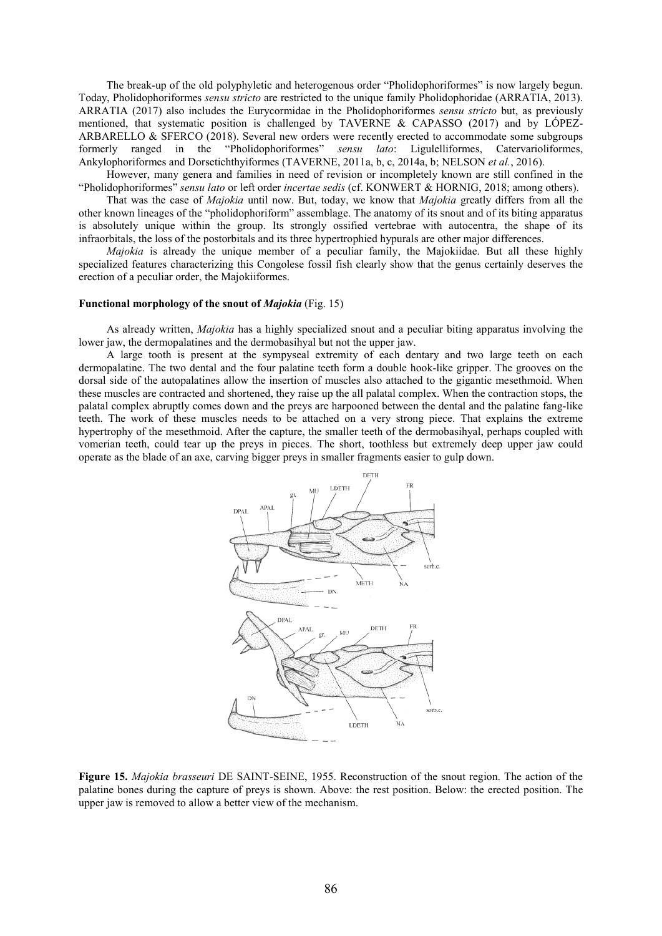The break-up of the old polyphyletic and heterogenous order "Pholidophoriformes" is now largely begun. Today, Pholidophoriformes *sensu stricto* are restricted to the unique family Pholidophoridae (ARRATIA, 2013). ARRATIA (2017) also includes the Eurycormidae in the Pholidophoriformes *sensu stricto* but, as previously mentioned, that systematic position is challenged by TAVERNE & CAPASSO (2017) and by LÓPEZ-ARBARELLO & SFERCO (2018). Several new orders were recently erected to accommodate some subgroups formerly ranged in the "Pholidophoriformes" *sensu lato*: Ligulelliformes, Catervarioliformes, Ankylophoriformes and Dorsetichthyiformes (TAVERNE, 2011a, b, c, 2014a, b; NELSON *et al.*, 2016).

 However, many genera and families in need of revision or incompletely known are still confined in the "Pholidophoriformes" *sensu lato* or left order *incertae sedis* (cf. KONWERT & HORNIG, 2018; among others).

 That was the case of *Majokia* until now. But, today, we know that *Majokia* greatly differs from all the other known lineages of the "pholidophoriform" assemblage. The anatomy of its snout and of its biting apparatus is absolutely unique within the group. Its strongly ossified vertebrae with autocentra, the shape of its infraorbitals, the loss of the postorbitals and its three hypertrophied hypurals are other major differences.

 *Majokia* is already the unique member of a peculiar family, the Majokiidae. But all these highly specialized features characterizing this Congolese fossil fish clearly show that the genus certainly deserves the erection of a peculiar order, the Majokiiformes.

### Functional morphology of the snout of *Majokia* (Fig. 15)

 As already written, *Majokia* has a highly specialized snout and a peculiar biting apparatus involving the lower jaw, the dermopalatines and the dermobasihyal but not the upper jaw.

 A large tooth is present at the sympyseal extremity of each dentary and two large teeth on each dermopalatine. The two dental and the four palatine teeth form a double hook-like gripper. The grooves on the dorsal side of the autopalatines allow the insertion of muscles also attached to the gigantic mesethmoid. When these muscles are contracted and shortened, they raise up the all palatal complex. When the contraction stops, the palatal complex abruptly comes down and the preys are harpooned between the dental and the palatine fang-like teeth. The work of these muscles needs to be attached on a very strong piece. That explains the extreme hypertrophy of the mesethmoid. After the capture, the smaller teeth of the dermobasihyal, perhaps coupled with vomerian teeth, could tear up the preys in pieces. The short, toothless but extremely deep upper jaw could operate as the blade of an axe, carving bigger preys in smaller fragments easier to gulp down.



Figure 15. *Majokia brasseuri* DE SAINT-SEINE, 1955. Reconstruction of the snout region. The action of the palatine bones during the capture of preys is shown. Above: the rest position. Below: the erected position. The upper jaw is removed to allow a better view of the mechanism.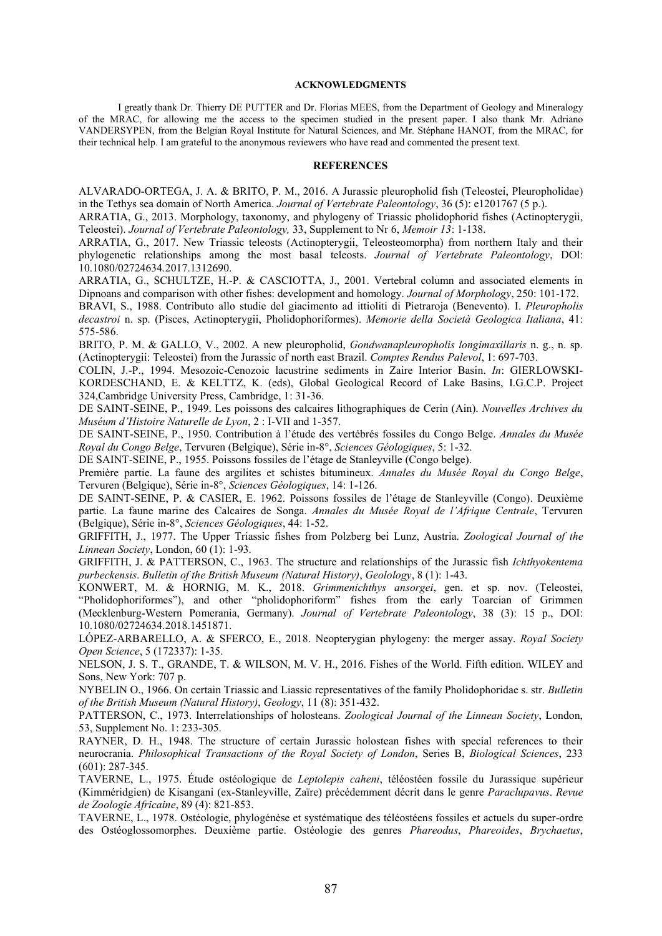#### ACKNOWLEDGMENTS

I greatly thank Dr. Thierry DE PUTTER and Dr. Florias MEES, from the Department of Geology and Mineralogy of the MRAC, for allowing me the access to the specimen studied in the present paper. I also thank Mr. Adriano VANDERSYPEN, from the Belgian Royal Institute for Natural Sciences, and Mr. Stéphane HANOT, from the MRAC, for their technical help. I am grateful to the anonymous reviewers who have read and commented the present text.

### **REFERENCES**

ALVARADO-ORTEGA, J. A. & BRITO, P. M., 2016. A Jurassic pleuropholid fish (Teleostei, Pleuropholidae) in the Tethys sea domain of North America. *Journal of Vertebrate Paleontology*, 36 (5): e1201767 (5 p.).

ARRATIA, G., 2013. Morphology, taxonomy, and phylogeny of Triassic pholidophorid fishes (Actinopterygii, Teleostei). *Journal of Vertebrate Paleontology,* 33, Supplement to Nr 6, *Memoir 13*: 1-138.

ARRATIA, G., 2017. New Triassic teleosts (Actinopterygii, Teleosteomorpha) from northern Italy and their phylogenetic relationships among the most basal teleosts. *Journal of Vertebrate Paleontology*, DOl: 10.1080/02724634.2017.1312690.

ARRATIA, G., SCHULTZE, H.-P. & CASCIOTTA, J., 2001. Vertebral column and associated elements in Dipnoans and comparison with other fishes: development and homology. *Journal of Morphology*, 250: 101-172.

BRAVI, S., 1988. Contributo allo studie del giacimento ad ittioliti di Pietraroja (Benevento). I. *Pleuropholis decastroi* n. sp. (Pisces, Actinopterygii, Pholidophoriformes). *Memorie della Società Geologica Italiana*, 41: 575-586.

BRITO, P. M. & GALLO, V., 2002. A new pleuropholid, *Gondwanapleuropholis longimaxillaris* n. g., n. sp. (Actinopterygii: Teleostei) from the Jurassic of north east Brazil. *Comptes Rendus Palevol*, 1: 697-703.

COLIN, J.-P., 1994. Mesozoic-Cenozoic lacustrine sediments in Zaire Interior Basin. *In*: GIERLOWSKI-KORDESCHAND, E. & KELTTZ, K. (eds), Global Geological Record of Lake Basins, I.G.C.P. Project 324,Cambridge University Press, Cambridge, 1: 31-36.

DE SAINT-SEINE, P., 1949. Les poissons des calcaires lithographiques de Cerin (Ain). *Nouvelles Archives du Muséum d'Histoire Naturelle de Lyon*, 2 : I-VII and 1-357.

DE SAINT-SEINE, P., 1950. Contribution à l'étude des vertébrés fossiles du Congo Belge. *Annales du Musée Royal du Congo Belge*, Tervuren (Belgique), Série in-8°, *Sciences Géologiques*, 5: 1-32.

DE SAINT-SEINE, P., 1955. Poissons fossiles de l'étage de Stanleyville (Congo belge).

Première partie. La faune des argilites et schistes bitumineux. *Annales du Musée Royal du Congo Belge*, Tervuren (Belgique), Série in-8°, *Sciences Géologiques*, 14: 1-126.

DE SAINT-SEINE, P. & CASIER, E. 1962. Poissons fossiles de l'étage de Stanleyville (Congo). Deuxième partie. La faune marine des Calcaires de Songa. *Annales du Musée Royal de l'Afrique Centrale*, Tervuren (Belgique), Série in-8°, *Sciences Géologiques*, 44: 1-52.

GRIFFITH, J., 1977. The Upper Triassic fishes from Polzberg bei Lunz, Austria. *Zoological Journal of the Linnean Society*, London, 60 (1): 1-93.

GRIFFITH, J. & PATTERSON, C., 1963. The structure and relationships of the Jurassic fish *Ichthyokentema purbeckensis*. *Bulletin of the British Museum (Natural History)*, *Geolology*, 8 (1): 1-43.

KONWERT, M. & HORNIG, M. K., 2018. *Grimmenichthys ansorgei*, gen. et sp. nov. (Teleostei, "Pholidophoriformes"), and other "pholidophoriform" fishes from the early Toarcian of Grimmen (Mecklenburg-Western Pomerania, Germany). *Journal of Vertebrate Paleontology*, 38 (3): 15 p., DOI: 10.1080/02724634.2018.1451871.

LÓPEZ-ARBARELLO, A. & SFERCO, E., 2018. Neopterygian phylogeny: the merger assay. *Royal Society Open Science*, 5 (172337): 1-35.

NELSON, J. S. T., GRANDE, T. & WILSON, M. V. H., 2016. Fishes of the World. Fifth edition. WILEY and Sons, New York: 707 p.

NYBELIN O., 1966. On certain Triassic and Liassic representatives of the family Pholidophoridae s. str. *Bulletin of the British Museum (Natural History)*, *Geology*, 11 (8): 351-432.

PATTERSON, C., 1973. Interrelationships of holosteans. *Zoological Journal of the Linnean Society*, London, 53, Supplement No. 1: 233-305.

RAYNER, D. H., 1948. The structure of certain Jurassic holostean fishes with special references to their neurocrania. *Philosophical Transactions of the Royal Society of London*, Series B, *Biological Sciences*, 233 (601): 287-345.

TAVERNE, L., 1975. Étude ostéologique de *Leptolepis caheni*, téléostéen fossile du Jurassique supérieur (Kimméridgien) de Kisangani (ex-Stanleyville, Zaïre) précédemment décrit dans le genre *Paraclupavus*. *Revue de Zoologie Africaine*, 89 (4): 821-853.

TAVERNE, L., 1978. Ostéologie, phylogénèse et systématique des téléostéens fossiles et actuels du super-ordre des Ostéoglossomorphes. Deuxième partie. Ostéologie des genres *Phareodus*, *Phareoides*, *Brychaetus*,